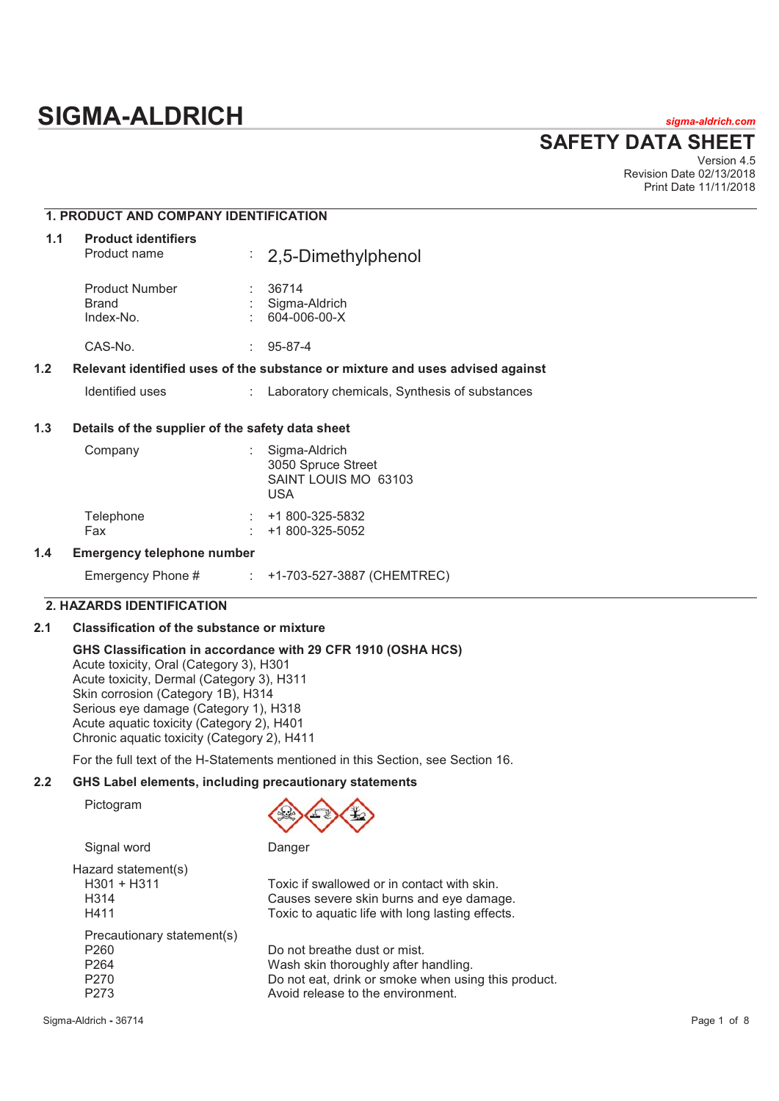# **SIGMA-ALDRICH** *sigma-aldrich.com*

# **SAFETY DATA SHEET**

Version 4.5 Revision Date 02/13/2018 Print Date 11/11/2018

# **1. PRODUCT AND COMPANY IDENTIFICATION**

| 1.1 | <b>Product identifiers</b><br>Product name  |    | $\div$ 2,5-Dimethylphenol                                                     |
|-----|---------------------------------------------|----|-------------------------------------------------------------------------------|
|     | <b>Product Number</b><br>Brand<br>Index-No. |    | 36714<br>Sigma-Aldrich<br>604-006-00-X                                        |
|     | CAS-No.                                     | ÷. | $95 - 87 - 4$                                                                 |
| 1.2 |                                             |    | Relevant identified uses of the substance or mixture and uses advised against |
|     | Identified uses                             |    | Laboratory chemicals, Synthesis of substances                                 |

# **1.3 Details of the supplier of the safety data sheet**

| Company          | Sigma-Aldrich<br>3050 Spruce Street<br>SAINT LOUIS MO 63103<br>USA |
|------------------|--------------------------------------------------------------------|
| Telephone<br>Fax | +1 800-325-5832<br>$: +1800 - 325 - 5052$                          |

### **1.4 Emergency telephone number**

| Emergency Phone # |  | +1-703-527-3887 (CHEMTREC) |
|-------------------|--|----------------------------|
|-------------------|--|----------------------------|

# **2. HAZARDS IDENTIFICATION**

# **2.1 Classification of the substance or mixture**

# **GHS Classification in accordance with 29 CFR 1910 (OSHA HCS)**

Acute toxicity, Oral (Category 3), H301 Acute toxicity, Dermal (Category 3), H311 Skin corrosion (Category 1B), H314 Serious eye damage (Category 1), H318 Acute aquatic toxicity (Category 2), H401 Chronic aquatic toxicity (Category 2), H411

For the full text of the H-Statements mentioned in this Section, see Section 16.

# **2.2 GHS Label elements, including precautionary statements**

Pictogram



Signal word Danger

Hazard statement(s) H301 + H311 Toxic if swallowed or in contact with skin. H314 Causes severe skin burns and eye damage. H411 Toxic to aquatic life with long lasting effects. Precautionary statement(s) P260 Do not breathe dust or mist.<br>P264 Wash skin thoroughly after the R264 P264 Wash skin thoroughly after handling.<br>P270 Do not eat. drink or smoke when usin P270 Do not eat, drink or smoke when using this product.<br>P273 Avoid release to the environment. Avoid release to the environment.

Sigma-Aldrich **-** 36714 Page 1 of 8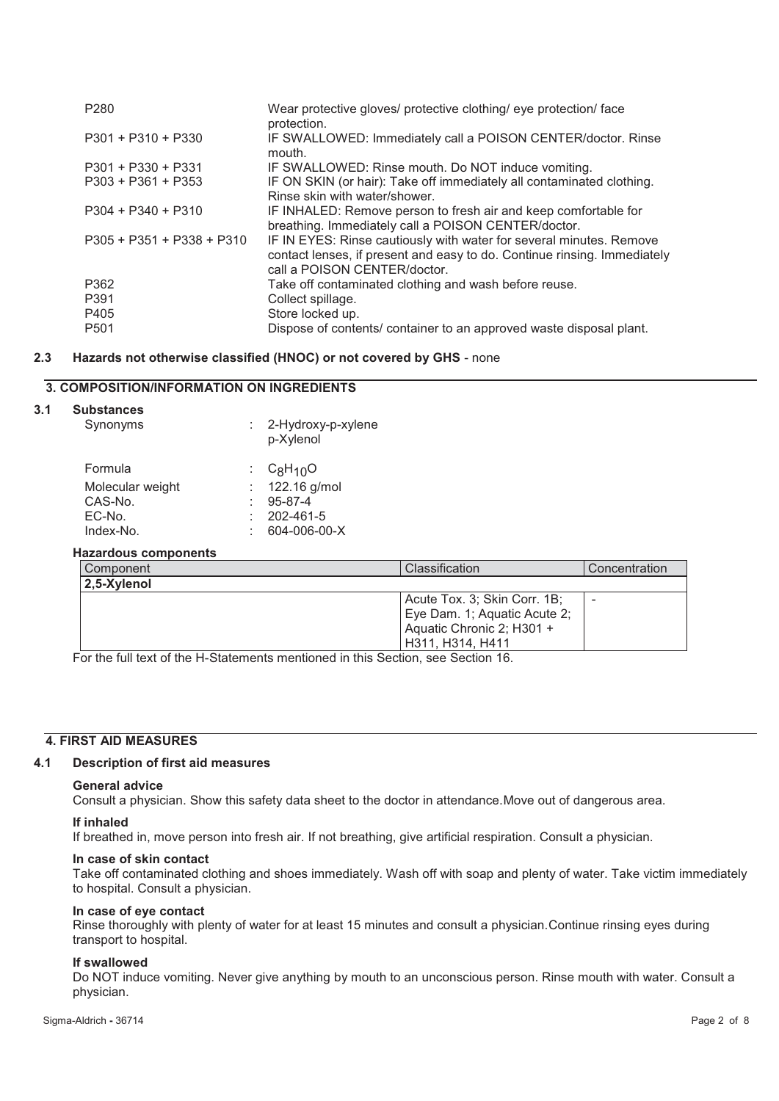| P <sub>280</sub>            | Wear protective gloves/ protective clothing/ eye protection/ face<br>protection.                                                                                                |
|-----------------------------|---------------------------------------------------------------------------------------------------------------------------------------------------------------------------------|
| $P301 + P310 + P330$        | IF SWALLOWED: Immediately call a POISON CENTER/doctor. Rinse<br>mouth.                                                                                                          |
| $P301 + P330 + P331$        | IF SWALLOWED: Rinse mouth. Do NOT induce vomiting.                                                                                                                              |
| $P303 + P361 + P353$        | IF ON SKIN (or hair): Take off immediately all contaminated clothing.<br>Rinse skin with water/shower.                                                                          |
| $P304 + P340 + P310$        | IF INHALED: Remove person to fresh air and keep comfortable for<br>breathing. Immediately call a POISON CENTER/doctor.                                                          |
| $P305 + P351 + P338 + P310$ | IF IN EYES: Rinse cautiously with water for several minutes. Remove<br>contact lenses, if present and easy to do. Continue rinsing. Immediately<br>call a POISON CENTER/doctor. |
| P362                        | Take off contaminated clothing and wash before reuse.                                                                                                                           |
| P391                        | Collect spillage.                                                                                                                                                               |
| P405                        | Store locked up.                                                                                                                                                                |
| P <sub>501</sub>            | Dispose of contents/ container to an approved waste disposal plant.                                                                                                             |

# **2.3 Hazards not otherwise classified (HNOC) or not covered by GHS** - none

# **3. COMPOSITION/INFORMATION ON INGREDIENTS**

# **3.1 Substances**

|                  | p-Xylenol      |
|------------------|----------------|
| Formula          | : $C_8H_{10}O$ |
| Molecular weight | 122.16 g/mol   |
| CAS-No.          | $95 - 87 - 4$  |
| EC-No.           | 202-461-5      |
| Index-No.        | 604-006-00-X   |
|                  |                |

Synonyms : 2-Hydroxy-p-xylene

# **Hazardous components**

| Component   | Classification                                                                                                | Concentration |
|-------------|---------------------------------------------------------------------------------------------------------------|---------------|
| 2,5-Xylenol |                                                                                                               |               |
|             | Acute Tox. 3; Skin Corr. 1B;<br>Eye Dam. 1; Aquatic Acute 2;<br>Aquatic Chronic 2; H301 +<br>H311, H314, H411 |               |

For the full text of the H-Statements mentioned in this Section, see Section 16.

# **4. FIRST AID MEASURES**

# **4.1 Description of first aid measures**

#### **General advice**

Consult a physician. Show this safety data sheet to the doctor in attendance.Move out of dangerous area.

# **If inhaled**

If breathed in, move person into fresh air. If not breathing, give artificial respiration. Consult a physician.

# **In case of skin contact**

Take off contaminated clothing and shoes immediately. Wash off with soap and plenty of water. Take victim immediately to hospital. Consult a physician.

# **In case of eye contact**

Rinse thoroughly with plenty of water for at least 15 minutes and consult a physician.Continue rinsing eyes during transport to hospital.

# **If swallowed**

Do NOT induce vomiting. Never give anything by mouth to an unconscious person. Rinse mouth with water. Consult a physician.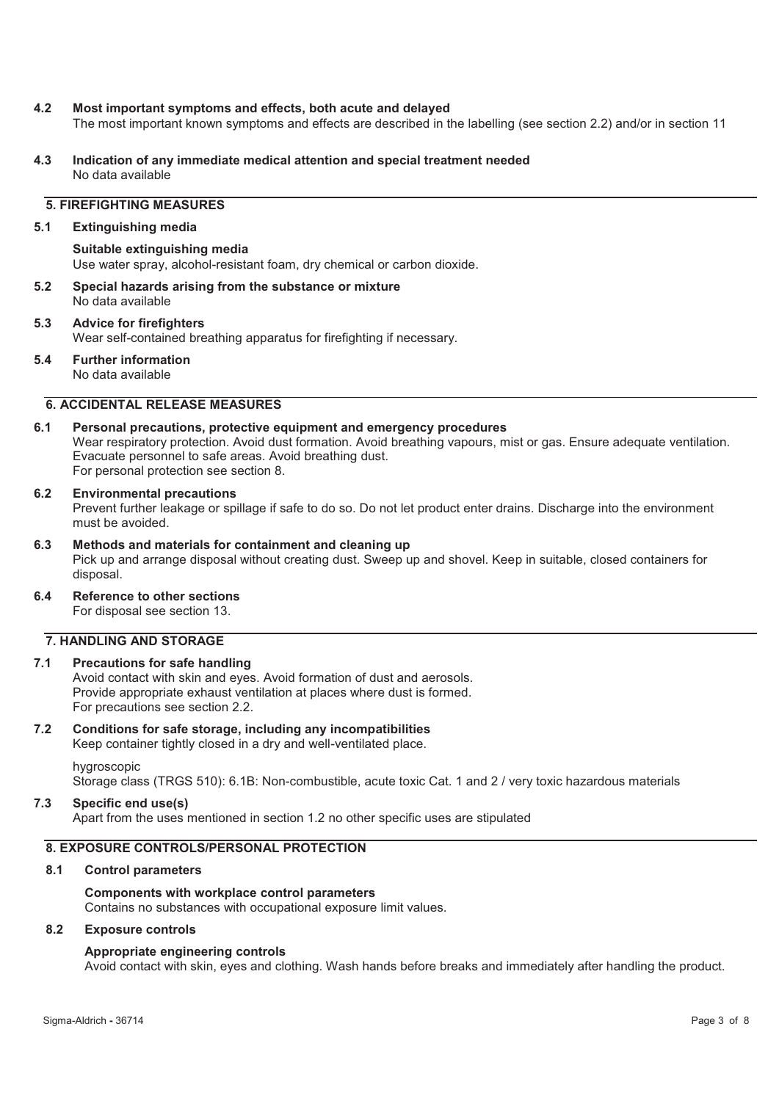# **4.2 Most important symptoms and effects, both acute and delayed**

The most important known symptoms and effects are described in the labelling (see section 2.2) and/or in section 11

**4.3 Indication of any immediate medical attention and special treatment needed**  No data available

# **5. FIREFIGHTING MEASURES**

# **5.1 Extinguishing media**

#### **Suitable extinguishing media**

Use water spray, alcohol-resistant foam, dry chemical or carbon dioxide.

**5.2 Special hazards arising from the substance or mixture**  No data available

#### **5.3 Advice for firefighters**  Wear self-contained breathing apparatus for firefighting if necessary.

**5.4 Further information** 

No data available

# **6. ACCIDENTAL RELEASE MEASURES**

# **6.1 Personal precautions, protective equipment and emergency procedures**

Wear respiratory protection. Avoid dust formation. Avoid breathing vapours, mist or gas. Ensure adequate ventilation. Evacuate personnel to safe areas. Avoid breathing dust. For personal protection see section 8.

# **6.2 Environmental precautions**

Prevent further leakage or spillage if safe to do so. Do not let product enter drains. Discharge into the environment must be avoided.

**6.3 Methods and materials for containment and cleaning up**  Pick up and arrange disposal without creating dust. Sweep up and shovel. Keep in suitable, closed containers for disposal.

# **6.4 Reference to other sections**

For disposal see section 13.

# **7. HANDLING AND STORAGE**

# **7.1 Precautions for safe handling**

Avoid contact with skin and eyes. Avoid formation of dust and aerosols. Provide appropriate exhaust ventilation at places where dust is formed. For precautions see section 2.2.

#### **7.2 Conditions for safe storage, including any incompatibilities**

Keep container tightly closed in a dry and well-ventilated place. hygroscopic

Storage class (TRGS 510): 6.1B: Non-combustible, acute toxic Cat. 1 and 2 / very toxic hazardous materials

#### **7.3 Specific end use(s)**

Apart from the uses mentioned in section 1.2 no other specific uses are stipulated

# **8. EXPOSURE CONTROLS/PERSONAL PROTECTION**

# **8.1 Control parameters**

#### **Components with workplace control parameters**

Contains no substances with occupational exposure limit values.

# **8.2 Exposure controls**

#### **Appropriate engineering controls**

Avoid contact with skin, eyes and clothing. Wash hands before breaks and immediately after handling the product.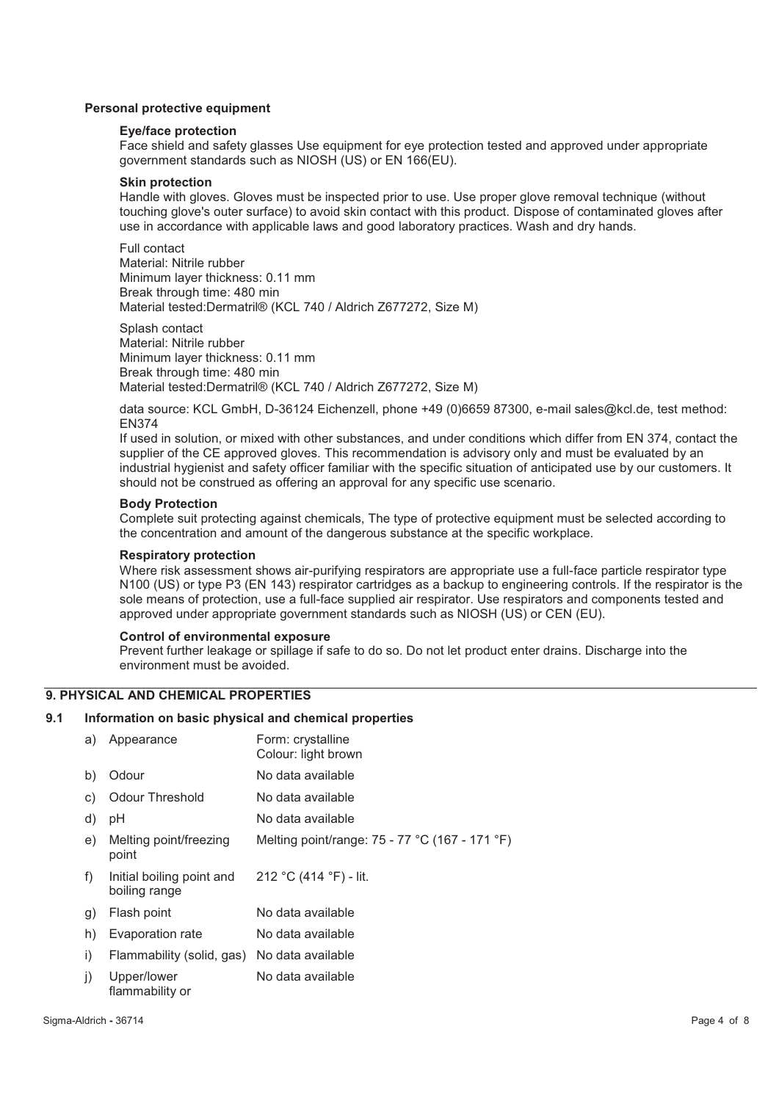# **Personal protective equipment**

#### **Eye/face protection**

Face shield and safety glasses Use equipment for eye protection tested and approved under appropriate government standards such as NIOSH (US) or EN 166(EU).

#### **Skin protection**

Handle with gloves. Gloves must be inspected prior to use. Use proper glove removal technique (without touching glove's outer surface) to avoid skin contact with this product. Dispose of contaminated gloves after use in accordance with applicable laws and good laboratory practices. Wash and dry hands.

Full contact Material: Nitrile rubber Minimum layer thickness: 0.11 mm Break through time: 480 min Material tested:Dermatril® (KCL 740 / Aldrich Z677272, Size M)

Splash contact Material: Nitrile rubber Minimum layer thickness: 0.11 mm Break through time: 480 min Material tested:Dermatril® (KCL 740 / Aldrich Z677272, Size M)

data source: KCL GmbH, D-36124 Eichenzell, phone +49 (0)6659 87300, e-mail sales@kcl.de, test method: EN374

If used in solution, or mixed with other substances, and under conditions which differ from EN 374, contact the supplier of the CE approved gloves. This recommendation is advisory only and must be evaluated by an industrial hygienist and safety officer familiar with the specific situation of anticipated use by our customers. It should not be construed as offering an approval for any specific use scenario.

# **Body Protection**

Complete suit protecting against chemicals, The type of protective equipment must be selected according to the concentration and amount of the dangerous substance at the specific workplace.

#### **Respiratory protection**

Where risk assessment shows air-purifying respirators are appropriate use a full-face particle respirator type N100 (US) or type P3 (EN 143) respirator cartridges as a backup to engineering controls. If the respirator is the sole means of protection, use a full-face supplied air respirator. Use respirators and components tested and approved under appropriate government standards such as NIOSH (US) or CEN (EU).

#### **Control of environmental exposure**

Prevent further leakage or spillage if safe to do so. Do not let product enter drains. Discharge into the environment must be avoided.

# **9. PHYSICAL AND CHEMICAL PROPERTIES**

#### **9.1 Information on basic physical and chemical properties**

| a)           | Appearance                                 | Form: crystalline<br>Colour: light brown       |
|--------------|--------------------------------------------|------------------------------------------------|
| b)           | Odour                                      | No data available                              |
| C)           | <b>Odour Threshold</b>                     | No data available                              |
| d)           | рH                                         | No data available                              |
| e)           | Melting point/freezing<br>point            | Melting point/range: 75 - 77 °C (167 - 171 °F) |
| f)           | Initial boiling point and<br>boiling range | 212 °C (414 °F) - lit.                         |
| $\mathbf{g}$ | Flash point                                | No data available                              |
| h)           | Evaporation rate                           | No data available                              |
| i)           | Flammability (solid, gas)                  | No data available                              |
| j)           | Upper/lower<br>flammability or             | No data available                              |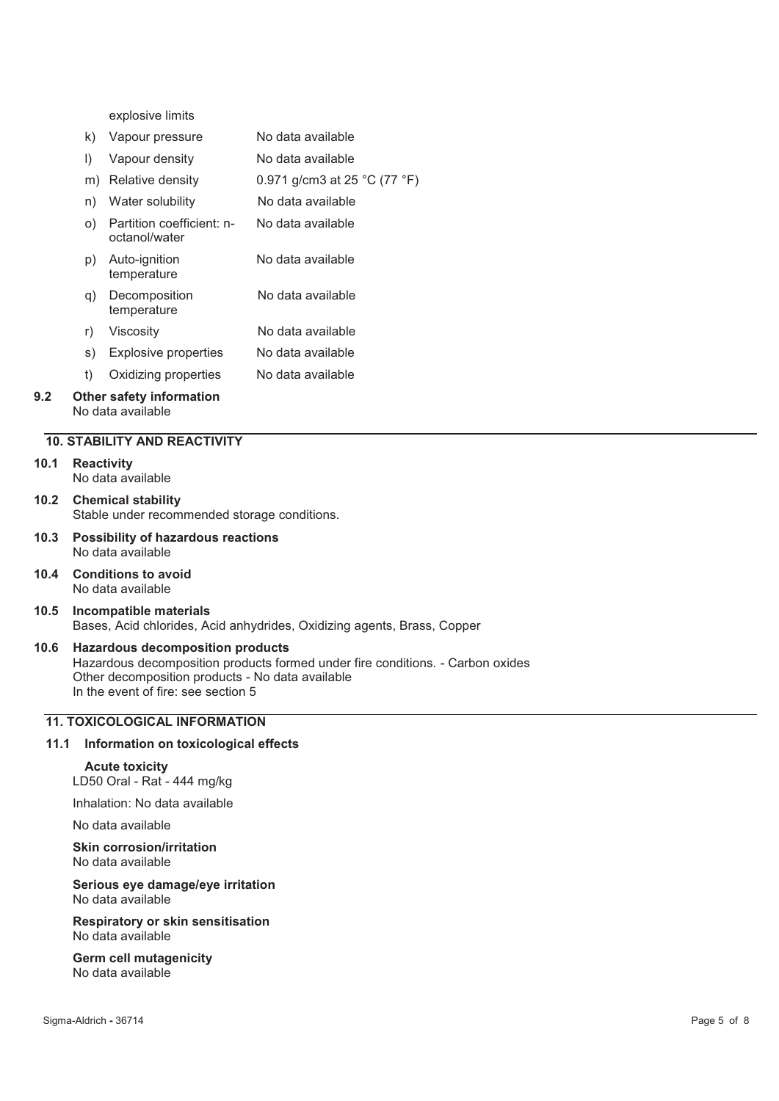explosive limits

- k) Vapour pressure No data available
- l) Vapour density No data available
- m) Relative density 0.971 g/cm3 at 25 °C (77 °F)
- n) Water solubility No data available o) Partition coefficient: noctanol/water No data available p) Auto-ignition temperature No data available q) Decomposition No data available
- temperature r) Viscosity No data available
- s) Explosive properties No data available
- t) Oxidizing properties No data available

#### **9.2 Other safety information**  No data available

# **10. STABILITY AND REACTIVITY**

#### **10.1 Reactivity**

No data available

**10.2 Chemical stability**  Stable under recommended storage conditions.

- **10.3 Possibility of hazardous reactions**  No data available
- **10.4 Conditions to avoid**  No data available
- **10.5 Incompatible materials**  Bases, Acid chlorides, Acid anhydrides, Oxidizing agents, Brass, Copper

# **10.6 Hazardous decomposition products**

Hazardous decomposition products formed under fire conditions. - Carbon oxides Other decomposition products - No data available In the event of fire: see section 5

# **11. TOXICOLOGICAL INFORMATION**

#### **11.1 Information on toxicological effects**

# **Acute toxicity**

LD50 Oral - Rat - 444 mg/kg

Inhalation: No data available

No data available

#### **Skin corrosion/irritation**  No data available

**Serious eye damage/eye irritation**  No data available

#### **Respiratory or skin sensitisation**  No data available

**Germ cell mutagenicity**  No data available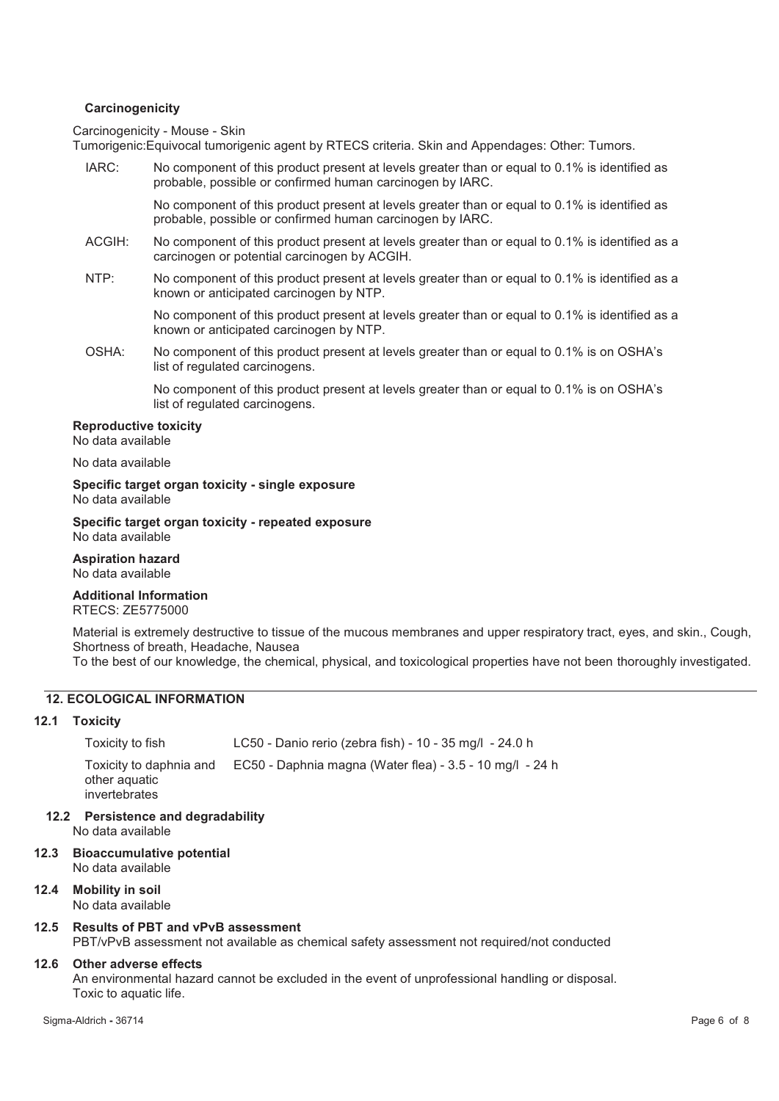# **Carcinogenicity**

Carcinogenicity - Mouse - Skin

Tumorigenic:Equivocal tumorigenic agent by RTECS criteria. Skin and Appendages: Other: Tumors.

| IARC:  | No component of this product present at levels greater than or equal to 0.1% is identified as<br>probable, possible or confirmed human carcinogen by IARC. |
|--------|------------------------------------------------------------------------------------------------------------------------------------------------------------|
|        | No component of this product present at levels greater than or equal to 0.1% is identified as<br>probable, possible or confirmed human carcinogen by IARC. |
| ACGIH: | No component of this product present at levels greater than or equal to 0.1% is identified as a<br>carcinogen or potential carcinogen by ACGIH.            |
| NTP:   | No component of this product present at levels greater than or equal to 0.1% is identified as a<br>known or anticipated carcinogen by NTP.                 |
|        | No component of this product present at levels greater than or equal to 0.1% is identified as a<br>known or anticipated carcinogen by NTP.                 |
| OSHA:  | No component of this product present at levels greater than or equal to 0.1% is on OSHA's<br>list of regulated carcinogens.                                |
|        | No component of this product present at levels greater than or equal to 0.1% is on OSHA's<br>list of regulated carcinogens.                                |

#### **Reproductive toxicity**

No data available

#### No data available

**Specific target organ toxicity - single exposure**  No data available

**Specific target organ toxicity - repeated exposure**  No data available

**Aspiration hazard**  No data available

#### **Additional Information**  RTECS: ZE5775000

Material is extremely destructive to tissue of the mucous membranes and upper respiratory tract, eyes, and skin., Cough, Shortness of breath, Headache, Nausea

To the best of our knowledge, the chemical, physical, and toxicological properties have not been thoroughly investigated.

# **12. ECOLOGICAL INFORMATION**

# **12.1 Toxicity**

Toxicity to fish LC50 - Danio rerio (zebra fish) - 10 - 35 mg/l - 24.0 h Toxicity to daphnia and other aquatic invertebrates EC50 - Daphnia magna (Water flea) - 3.5 - 10 mg/l - 24 h

- **12.2 Persistence and degradability**  No data available
- **12.3 Bioaccumulative potential**  No data available
- **12.4 Mobility in soil**  No data available

# **12.5 Results of PBT and vPvB assessment**

PBT/vPvB assessment not available as chemical safety assessment not required/not conducted

# **12.6 Other adverse effects**

An environmental hazard cannot be excluded in the event of unprofessional handling or disposal. Toxic to aquatic life.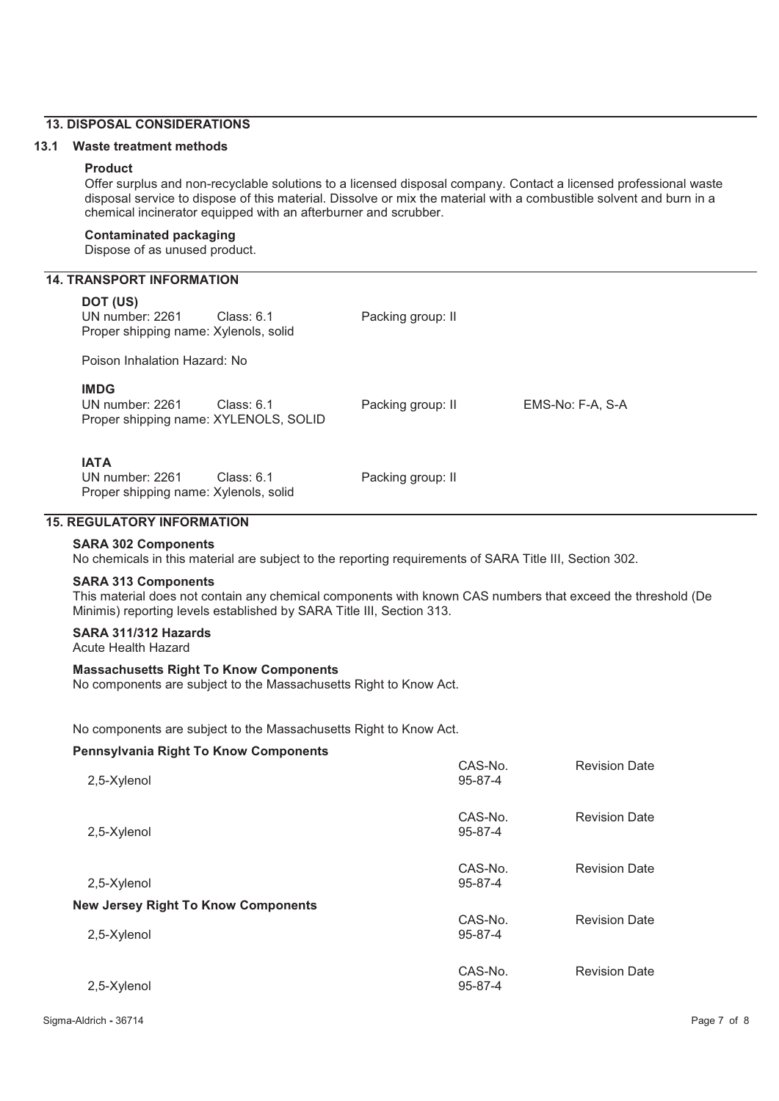# **13. DISPOSAL CONSIDERATIONS**

#### **13.1 Waste treatment methods**

#### **Product**

Offer surplus and non-recyclable solutions to a licensed disposal company. Contact a licensed professional waste disposal service to dispose of this material. Dissolve or mix the material with a combustible solvent and burn in a chemical incinerator equipped with an afterburner and scrubber.

#### **Contaminated packaging**

Dispose of as unused product.

# **14. TRANSPORT INFORMATION**

#### **DOT (US)**

UN number: 2261 Class: 6.1 Packing group: II Proper shipping name: Xylenols, solid Poison Inhalation Hazard: No **IMDG** UN number: 2261 Class: 6.1 Packing group: II EMS-No: F-A, S-A Proper shipping name: XYLENOLS, SOLID **IATA** UN number: 2261 Class: 6.1 Packing group: II Proper shipping name: Xylenols, solid **15. REGULATORY INFORMATION** 

# **SARA 302 Components**

No chemicals in this material are subject to the reporting requirements of SARA Title III, Section 302.

### **SARA 313 Components**

This material does not contain any chemical components with known CAS numbers that exceed the threshold (De Minimis) reporting levels established by SARA Title III, Section 313.

# **SARA 311/312 Hazards**

Acute Health Hazard

# **Massachusetts Right To Know Components**

No components are subject to the Massachusetts Right to Know Act.

No components are subject to the Massachusetts Right to Know Act.

#### **Pennsylvania Right To Know Components**

| 2,5-Xylenol                                | CAS-No.<br>95-87-4 | <b>Revision Date</b> |
|--------------------------------------------|--------------------|----------------------|
| 2,5-Xylenol                                | CAS-No.<br>95-87-4 | <b>Revision Date</b> |
| 2,5-Xylenol                                | CAS-No.<br>95-87-4 | <b>Revision Date</b> |
| <b>New Jersey Right To Know Components</b> |                    |                      |
| 2,5-Xylenol                                | CAS-No.<br>95-87-4 | <b>Revision Date</b> |
| 2,5-Xylenol                                | CAS-No.<br>95-87-4 | <b>Revision Date</b> |
|                                            |                    |                      |